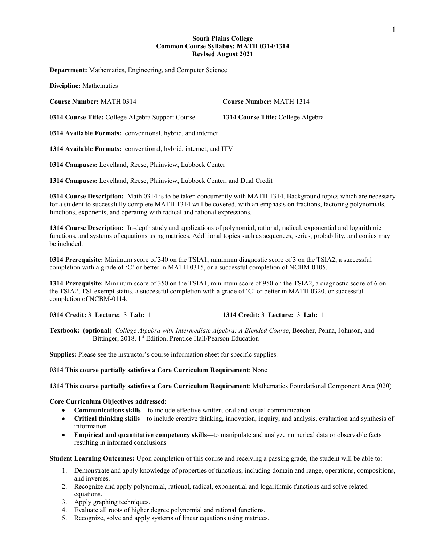## **South Plains College Common Course Syllabus: MATH 0314/1314 Revised August 2021**

**Department:** Mathematics, Engineering, and Computer Science

**Discipline:** Mathematics

**Course Number:** MATH 0314 **Course Number:** MATH 1314

**0314 Course Title:** College Algebra Support Course **1314 Course Title:** College Algebra

**0314 Available Formats:** conventional, hybrid, and internet

**1314 Available Formats:** conventional, hybrid, internet, and ITV

**0314 Campuses:** Levelland, Reese, Plainview, Lubbock Center

**1314 Campuses:** Levelland, Reese, Plainview, Lubbock Center, and Dual Credit

**0314 Course Description:** Math 0314 is to be taken concurrently with MATH 1314. Background topics which are necessary for a student to successfully complete MATH 1314 will be covered, with an emphasis on fractions, factoring polynomials, functions, exponents, and operating with radical and rational expressions.

**1314 Course Description:** In-depth study and applications of polynomial, rational, radical, exponential and logarithmic functions, and systems of equations using matrices. Additional topics such as sequences, series, probability, and conics may be included.

**0314 Prerequisite:** Minimum score of 340 on the TSIA1, minimum diagnostic score of 3 on the TSIA2, a successful completion with a grade of 'C' or better in MATH 0315, or a successful completion of NCBM-0105.

**1314 Prerequisite:** Minimum score of 350 on the TSIA1, minimum score of 950 on the TSIA2, a diagnostic score of 6 on the TSIA2, TSI-exempt status, a successful completion with a grade of 'C' or better in MATH 0320, or successful completion of NCBM-0114.

**0314 Credit:** 3 **Lecture:** 3 **Lab:** 1 **1314 Credit:** 3 **Lecture:** 3 **Lab:** 1

**Textbook: (optional)** *College Algebra with Intermediate Algebra: A Blended Course*, Beecher, Penna, Johnson, and Bittinger, 2018, 1<sup>st</sup> Edition, Prentice Hall/Pearson Education

**Supplies:** Please see the instructor's course information sheet for specific supplies.

**0314 This course partially satisfies a Core Curriculum Requirement**: None

**1314 This course partially satisfies a Core Curriculum Requirement**: Mathematics Foundational Component Area (020)

**Core Curriculum Objectives addressed:**

- **Communications skills**—to include effective written, oral and visual communication
- **Critical thinking skills**—to include creative thinking, innovation, inquiry, and analysis, evaluation and synthesis of information
- **Empirical and quantitative competency skills**—to manipulate and analyze numerical data or observable facts resulting in informed conclusions

**Student Learning Outcomes:** Upon completion of this course and receiving a passing grade, the student will be able to:

- 1. Demonstrate and apply knowledge of properties of functions, including domain and range, operations, compositions, and inverses.
- 2. Recognize and apply polynomial, rational, radical, exponential and logarithmic functions and solve related equations.
- 3. Apply graphing techniques.
- 4. Evaluate all roots of higher degree polynomial and rational functions.
- 5. Recognize, solve and apply systems of linear equations using matrices.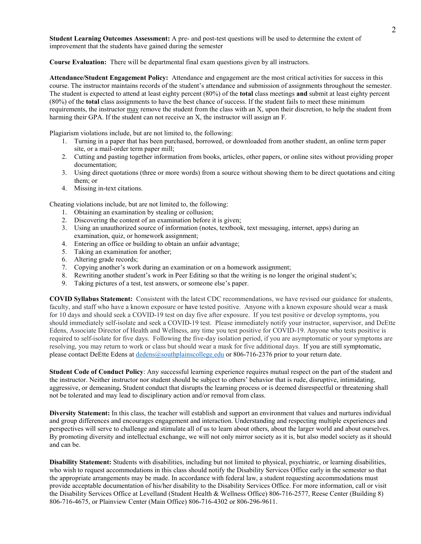**Student Learning Outcomes Assessment:** A pre- and post-test questions will be used to determine the extent of improvement that the students have gained during the semester

**Course Evaluation:** There will be departmental final exam questions given by all instructors.

**Attendance/Student Engagement Policy:** Attendance and engagement are the most critical activities for success in this course. The instructor maintains records of the student's attendance and submission of assignments throughout the semester. The student is expected to attend at least eighty percent (80%) of the **total** class meetings **and** submit at least eighty percent (80%) of the **total** class assignments to have the best chance of success. If the student fails to meet these minimum requirements, the instructor may remove the student from the class with an X, upon their discretion, to help the student from harming their GPA. If the student can not receive an X, the instructor will assign an F.

Plagiarism violations include, but are not limited to, the following:

- 1. Turning in a paper that has been purchased, borrowed, or downloaded from another student, an online term paper site, or a mail-order term paper mill;
- 2. Cutting and pasting together information from books, articles, other papers, or online sites without providing proper documentation;
- 3. Using direct quotations (three or more words) from a source without showing them to be direct quotations and citing them; or
- 4. Missing in-text citations.

Cheating violations include, but are not limited to, the following:

- 1. Obtaining an examination by stealing or collusion;
- 2. Discovering the content of an examination before it is given;
- 3. Using an unauthorized source of information (notes, textbook, text messaging, internet, apps) during an examination, quiz, or homework assignment;
- 4. Entering an office or building to obtain an unfair advantage;
- 5. Taking an examination for another;
- 6. Altering grade records;
- 7. Copying another's work during an examination or on a homework assignment;
- 8. Rewriting another student's work in Peer Editing so that the writing is no longer the original student's;
- 9. Taking pictures of a test, test answers, or someone else's paper.

**COVID Syllabus Statement:** Consistent with the latest CDC recommendations, we have revised our guidance for students, faculty, and staff who have a known exposure or have tested positive. Anyone with a known exposure should wear a mask for 10 days and should seek a COVID-19 test on day five after exposure. If you test positive or develop symptoms, you should immediately self-isolate and seek a COVID-19 test. Please immediately notify your instructor, supervisor, and DeEtte Edens, Associate Director of Health and Wellness, any time you test positive for COVID-19. Anyone who tests positive is required to self-isolate for five days. Following the five-day isolation period, if you are asymptomatic or your symptoms are resolving, you may return to work or class but should wear a mask for five additional days. If you are still symptomatic, please contact DeEtte Edens at [dedens@southplainscollege.edu](mailto:dedens@southplainscollege.edu) or 806-716-2376 prior to your return date.

**Student Code of Conduct Policy**: Any successful learning experience requires mutual respect on the part of the student and the instructor. Neither instructor nor student should be subject to others' behavior that is rude, disruptive, intimidating, aggressive, or demeaning**.** Student conduct that disrupts the learning process or is deemed disrespectful or threatening shall not be tolerated and may lead to disciplinary action and/or removal from class.

**Diversity Statement:** In this class, the teacher will establish and support an environment that values and nurtures individual and group differences and encourages engagement and interaction. Understanding and respecting multiple experiences and perspectives will serve to challenge and stimulate all of us to learn about others, about the larger world and about ourselves. By promoting diversity and intellectual exchange, we will not only mirror society as it is, but also model society as it should and can be.

**Disability Statement:** Students with disabilities, including but not limited to physical, psychiatric, or learning disabilities, who wish to request accommodations in this class should notify the Disability Services Office early in the semester so that the appropriate arrangements may be made. In accordance with federal law, a student requesting accommodations must provide acceptable documentation of his/her disability to the Disability Services Office. For more information, call or visit the Disability Services Office at Levelland (Student Health & Wellness Office) 806-716-2577, Reese Center (Building 8) 806-716-4675, or Plainview Center (Main Office) 806-716-4302 or 806-296-9611.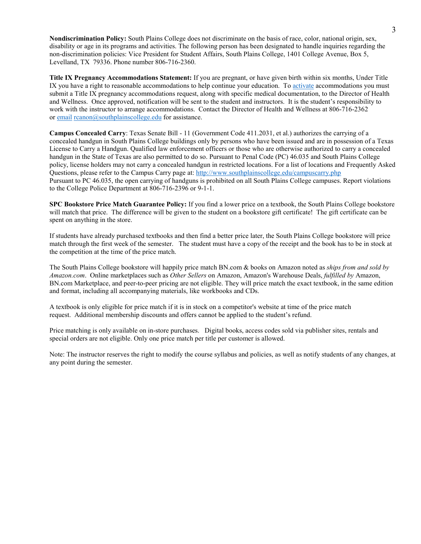**Nondiscrimination Policy:** South Plains College does not discriminate on the basis of race, color, national origin, sex, disability or age in its programs and activities. The following person has been designated to handle inquiries regarding the non-discrimination policies: Vice President for Student Affairs, South Plains College, 1401 College Avenue, Box 5, Levelland, TX 79336. Phone number 806-716-2360.

**Title IX Pregnancy Accommodations Statement:** If you are pregnant, or have given birth within six months, Under Title IX you have a right to reasonable accommodations to help continue your education. To [activate](http://www.southplainscollege.edu/employees/manualshandbooks/facultyhandbook/sec4.php) accommodations you must submit a Title IX pregnancy accommodations request, along with specific medical documentation, to the Director of Health and Wellness. Once approved, notification will be sent to the student and instructors. It is the student's responsibility to work with the instructor to arrange accommodations. Contact the Director of Health and Wellness at 806-716-2362 or [email](http://www.southplainscollege.edu/employees/manualshandbooks/facultyhandbook/sec4.php) [rcanon@southplainscollege.edu](mailto:rcanon@southplainscollege.edu) for assistance.

**Campus Concealed Carry**: Texas Senate Bill - 11 (Government Code 411.2031, et al.) authorizes the carrying of a concealed handgun in South Plains College buildings only by persons who have been issued and are in possession of a Texas License to Carry a Handgun. Qualified law enforcement officers or those who are otherwise authorized to carry a concealed handgun in the State of Texas are also permitted to do so. Pursuant to Penal Code (PC) 46.035 and South Plains College policy, license holders may not carry a concealed handgun in restricted locations. For a list of locations and Frequently Asked Questions, please refer to the Campus Carry page at: <http://www.southplainscollege.edu/campuscarry.php> Pursuant to PC 46.035, the open carrying of handguns is prohibited on all South Plains College campuses. Report violations to the College Police Department at 806-716-2396 or 9-1-1.

**SPC Bookstore Price Match Guarantee Policy:** If you find a lower price on a textbook, the South Plains College bookstore will match that price. The difference will be given to the student on a bookstore gift certificate! The gift certificate can be spent on anything in the store.

If students have already purchased textbooks and then find a better price later, the South Plains College bookstore will price match through the first week of the semester. The student must have a copy of the receipt and the book has to be in stock at the competition at the time of the price match.

The South Plains College bookstore will happily price match BN.com & books on Amazon noted as *ships from and sold by Amazon.com*. Online marketplaces such as *Other Sellers* on Amazon, Amazon's Warehouse Deals, *fulfilled by* Amazon, BN.com Marketplace, and peer-to-peer pricing are not eligible. They will price match the exact textbook, in the same edition and format, including all accompanying materials, like workbooks and CDs.

A textbook is only eligible for price match if it is in stock on a competitor's website at time of the price match request. Additional membership discounts and offers cannot be applied to the student's refund.

Price matching is only available on in-store purchases. Digital books, access codes sold via publisher sites, rentals and special orders are not eligible. Only one price match per title per customer is allowed.

Note: The instructor reserves the right to modify the course syllabus and policies, as well as notify students of any changes, at any point during the semester.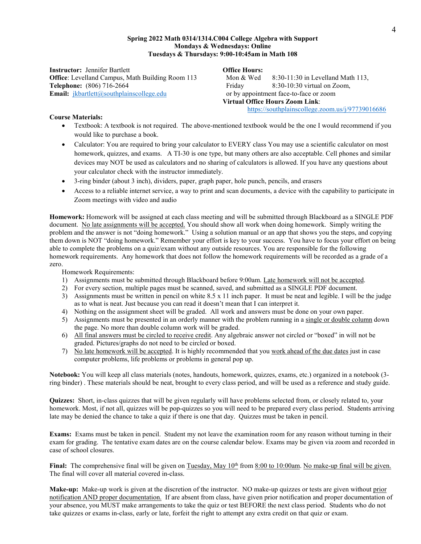## **Spring 2022 Math 0314/1314.C004 College Algebra with Support Mondays & Wednesdays: Online Tuesdays & Thursdays: 9:00-10:45am in Math 108**

**Instructor:** Jennifer Bartlett **Office Hours: Office**: Levelland Campus, Math Building Room 113 Mon & Wed 8:30-11:30 in Levelland Math 113, **Telephone:** (806) 716-2664 **Friday** 8:30-10:30 virtual on Zoom, **Email:**  $\frac{1}{k}$ **k**bartlett@southplainscollege.edu or by appointment face-to-face or zoom

**Virtual Office Hours Zoom Link**: <https://southplainscollege.zoom.us/j/97739016686>

# **Course Materials:**

- Textbook: A textbook is not required. The above-mentioned textbook would be the one I would recommend if you would like to purchase a book.
- Calculator: You are required to bring your calculator to EVERY class You may use a scientific calculator on most homework, quizzes, and exams. A TI-30 is one type, but many others are also acceptable. Cell phones and similar devices may NOT be used as calculators and no sharing of calculators is allowed. If you have any questions about your calculator check with the instructor immediately.
- 3-ring binder (about 3 inch), dividers, paper, graph paper, hole punch, pencils, and erasers
- Access to a reliable internet service, a way to print and scan documents, a device with the capability to participate in Zoom meetings with video and audio

**Homework:** Homework will be assigned at each class meeting and will be submitted through Blackboard as a SINGLE PDF document. No late assignments will be accepted. You should show all work when doing homework. Simply writing the problem and the answer is not "doing homework." Using a solution manual or an app that shows you the steps, and copying them down is NOT "doing homework." Remember your effort is key to your success. You have to focus your effort on being able to complete the problems on a quiz/exam without any outside resources. You are responsible for the following homework requirements. Any homework that does not follow the homework requirements will be recorded as a grade of a zero.

Homework Requirements:

- 1) Assignments must be submitted through Blackboard before 9:00am. Late homework will not be accepted.
- 2) For every section, multiple pages must be scanned, saved, and submitted as a SINGLE PDF document.
- 3) Assignments must be written in pencil on white 8.5 x 11 inch paper. It must be neat and legible. I will be the judge as to what is neat. Just because you can read it doesn't mean that I can interpret it.
- 4) Nothing on the assignment sheet will be graded. All work and answers must be done on your own paper.
- 5) Assignments must be presented in an orderly manner with the problem running in a single or double column down the page. No more than double column work will be graded.
- 6) All final answers must be circled to receive credit. Any algebraic answer not circled or "boxed" in will not be graded. Pictures/graphs do not need to be circled or boxed.
- 7) No late homework will be accepted. It is highly recommended that you work ahead of the due dates just in case computer problems, life problems or problems in general pop up.

**Notebook:** You will keep all class materials (notes, handouts, homework, quizzes, exams, etc.) organized in a notebook (3 ring binder) . These materials should be neat, brought to every class period, and will be used as a reference and study guide.

**Quizzes:** Short, in-class quizzes that will be given regularly will have problems selected from, or closely related to, your homework. Most, if not all, quizzes will be pop-quizzes so you will need to be prepared every class period. Students arriving late may be denied the chance to take a quiz if there is one that day. Quizzes must be taken in pencil.

**Exams:** Exams must be taken in pencil. Student my not leave the examination room for any reason without turning in their exam for grading. The tentative exam dates are on the course calendar below. Exams may be given via zoom and recorded in case of school closures.

**Final:** The comprehensive final will be given on Tuesday, May 10<sup>th</sup> from 8:00 to 10:00am. No make-up final will be given. The final will cover all material covered in-class.

**Make-up:** Make-up work is given at the discretion of the instructor. NO make-up quizzes or tests are given without prior notification AND proper documentation. If are absent from class, have given prior notification and proper documentation of your absence, you MUST make arrangements to take the quiz or test BEFORE the next class period. Students who do not take quizzes or exams in-class, early or late, forfeit the right to attempt any extra credit on that quiz or exam.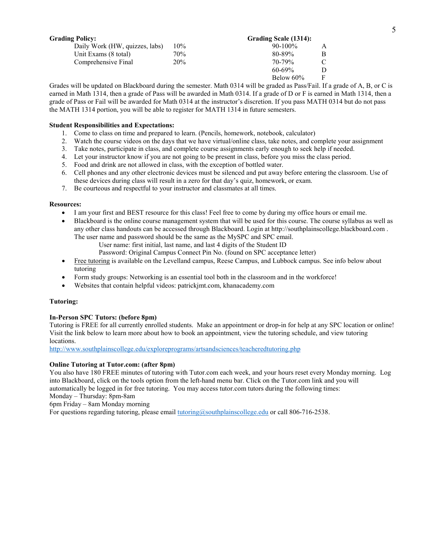| <b>Grading Policy:</b>         |     | Grading Scale (1314): |   |
|--------------------------------|-----|-----------------------|---|
| Daily Work (HW, quizzes, labs) | 10% | $90-100\%$            | A |
| Unit Exams (8 total)           | 70% | 80-89%                | B |
| Comprehensive Final            | 20% | 70-79%                |   |
|                                |     | $60 - 69\%$           | D |
|                                |     | Below $60\%$          | F |

Grades will be updated on Blackboard during the semester. Math 0314 will be graded as Pass/Fail. If a grade of A, B, or C is earned in Math 1314, then a grade of Pass will be awarded in Math 0314. If a grade of D or F is earned in Math 1314, then a grade of Pass or Fail will be awarded for Math 0314 at the instructor's discretion. If you pass MATH 0314 but do not pass the MATH 1314 portion, you will be able to register for MATH 1314 in future semesters.

## **Student Responsibilities and Expectations:**

- 1. Come to class on time and prepared to learn. (Pencils, homework, notebook, calculator)
- 2. Watch the course videos on the days that we have virtual/online class, take notes, and complete your assignment
- 3. Take notes, participate in class, and complete course assignments early enough to seek help if needed.
- 4. Let your instructor know if you are not going to be present in class, before you miss the class period.
- 5. Food and drink are not allowed in class, with the exception of bottled water.
- 6. Cell phones and any other electronic devices must be silenced and put away before entering the classroom. Use of these devices during class will result in a zero for that day's quiz, homework, or exam.
- 7. Be courteous and respectful to your instructor and classmates at all times.

## **Resources:**

- I am your first and BEST resource for this class! Feel free to come by during my office hours or email me.
- Blackboard is the online course management system that will be used for this course. The course syllabus as well as any other class handouts can be accessed through Blackboard. Login at http://southplainscollege.blackboard.com . The user name and password should be the same as the MySPC and SPC email.
	- User name: first initial, last name, and last 4 digits of the Student ID
		- Password: Original Campus Connect Pin No. (found on SPC acceptance letter)
- Free tutoring is available on the Levelland campus, Reese Campus, and Lubbock campus. See info below about tutoring
- Form study groups: Networking is an essential tool both in the classroom and in the workforce!
- Websites that contain helpful videos: patrickjmt.com, khanacademy.com

## **Tutoring:**

## **In-Person SPC Tutors: (before 8pm)**

Tutoring is FREE for all currently enrolled students. Make an appointment or drop-in for help at any SPC location or online! Visit the link below to learn more about how to book an appointment, view the tutoring schedule, and view tutoring locations.

<http://www.southplainscollege.edu/exploreprograms/artsandsciences/teacheredtutoring.php>

## **Online Tutoring at Tutor.com: (after 8pm)**

You also have 180 FREE minutes of tutoring with Tutor.com each week, and your hours reset every Monday morning. Log into Blackboard, click on the tools option from the left-hand menu bar. Click on the Tutor.com link and you will automatically be logged in for free tutoring. You may access tutor.com tutors during the following times:

Monday – Thursday: 8pm-8am

6pm Friday – 8am Monday morning

For questions regarding tutoring, please email  $\underline{tutoff}$  substitutions ollege.edu or call 806-716-2538.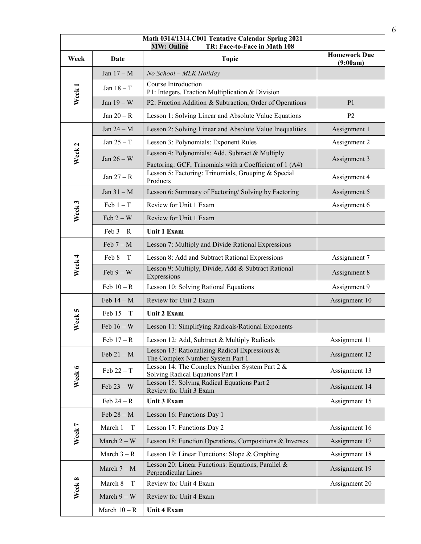| Math 0314/1314.C001 Tentative Calendar Spring 2021<br><b>MW: Online</b><br>TR: Face-to-Face in Math 108 |                |                                                                                                                            |                                 |  |
|---------------------------------------------------------------------------------------------------------|----------------|----------------------------------------------------------------------------------------------------------------------------|---------------------------------|--|
| Week                                                                                                    | Date           | <b>Topic</b>                                                                                                               | <b>Homework Due</b><br>(9:00am) |  |
| Week <sub>1</sub>                                                                                       | Jan $17 - M$   | No School - MLK Holiday                                                                                                    |                                 |  |
|                                                                                                         | Jan $18 - T$   | Course Introduction<br>P1: Integers, Fraction Multiplication & Division                                                    |                                 |  |
|                                                                                                         | Jan $19-W$     | P2: Fraction Addition & Subtraction, Order of Operations                                                                   | P <sub>1</sub>                  |  |
|                                                                                                         | Jan $20 - R$   | Lesson 1: Solving Linear and Absolute Value Equations                                                                      | P <sub>2</sub>                  |  |
| Week <sub>2</sub>                                                                                       | Jan $24 - M$   | Lesson 2: Solving Linear and Absolute Value Inequalities                                                                   | Assignment 1                    |  |
|                                                                                                         | Jan $25 - T$   | Lesson 3: Polynomials: Exponent Rules                                                                                      | Assignment 2                    |  |
|                                                                                                         | Jan $26-W$     | Lesson 4: Polynomials: Add, Subtract & Multiply                                                                            | Assignment 3                    |  |
|                                                                                                         | Jan $27 - R$   | Factoring: GCF, Trinomials with a Coefficient of 1 (A4)<br>Lesson 5: Factoring: Trinomials, Grouping & Special<br>Products | Assignment 4                    |  |
|                                                                                                         | Jan $31 - M$   | Lesson 6: Summary of Factoring/ Solving by Factoring                                                                       | Assignment 5                    |  |
|                                                                                                         | $Feb 1 - T$    | Review for Unit 1 Exam                                                                                                     | Assignment 6                    |  |
| Week 3                                                                                                  | Feb $2-W$      | Review for Unit 1 Exam                                                                                                     |                                 |  |
|                                                                                                         | $Feb 3 - R$    | Unit 1 Exam                                                                                                                |                                 |  |
|                                                                                                         | Feb $7 - M$    | Lesson 7: Multiply and Divide Rational Expressions                                                                         |                                 |  |
|                                                                                                         | Feb $8 - T$    | Lesson 8: Add and Subtract Rational Expressions                                                                            | Assignment 7                    |  |
| Week 4                                                                                                  | $Feb 9 - W$    | Lesson 9: Multiply, Divide, Add & Subtract Rational<br>Expressions                                                         | Assignment 8                    |  |
|                                                                                                         | Feb $10 - R$   | Lesson 10: Solving Rational Equations                                                                                      | Assignment 9                    |  |
|                                                                                                         | Feb $14 - M$   | Review for Unit 2 Exam                                                                                                     | Assignment 10                   |  |
| Week 5                                                                                                  | Feb $15 - T$   | Unit 2 Exam                                                                                                                |                                 |  |
|                                                                                                         | Feb $16-W$     | Lesson 11: Simplifying Radicals/Rational Exponents                                                                         |                                 |  |
|                                                                                                         | Feb $17 - R$   | Lesson 12: Add, Subtract & Multiply Radicals                                                                               | Assignment 11                   |  |
| Week 6                                                                                                  | Feb $21 - M$   | Lesson 13: Rationalizing Radical Expressions &<br>The Complex Number System Part 1                                         | Assignment 12                   |  |
|                                                                                                         | Feb $22-T$     | Lesson 14: The Complex Number System Part 2 &<br>Solving Radical Equations Part 1                                          | Assignment 13                   |  |
|                                                                                                         | Feb $23-W$     | Lesson 15: Solving Radical Equations Part 2<br>Review for Unit 3 Exam                                                      | Assignment 14                   |  |
|                                                                                                         | Feb $24 - R$   | Unit 3 Exam                                                                                                                | Assignment 15                   |  |
| Week 7                                                                                                  | Feb $28 - M$   | Lesson 16: Functions Day 1                                                                                                 |                                 |  |
|                                                                                                         | March $1 - T$  | Lesson 17: Functions Day 2                                                                                                 | Assignment 16                   |  |
|                                                                                                         | March $2 - W$  | Lesson 18: Function Operations, Compositions & Inverses                                                                    | Assignment 17                   |  |
|                                                                                                         | March $3 - R$  | Lesson 19: Linear Functions: Slope & Graphing                                                                              | Assignment 18                   |  |
|                                                                                                         | March $7 - M$  | Lesson 20: Linear Functions: Equations, Parallel &<br>Perpendicular Lines                                                  | Assignment 19                   |  |
| Week 8                                                                                                  | March $8 - T$  | Review for Unit 4 Exam                                                                                                     | Assignment 20                   |  |
|                                                                                                         | March $9 - W$  | Review for Unit 4 Exam                                                                                                     |                                 |  |
|                                                                                                         | March $10 - R$ | Unit 4 Exam                                                                                                                |                                 |  |